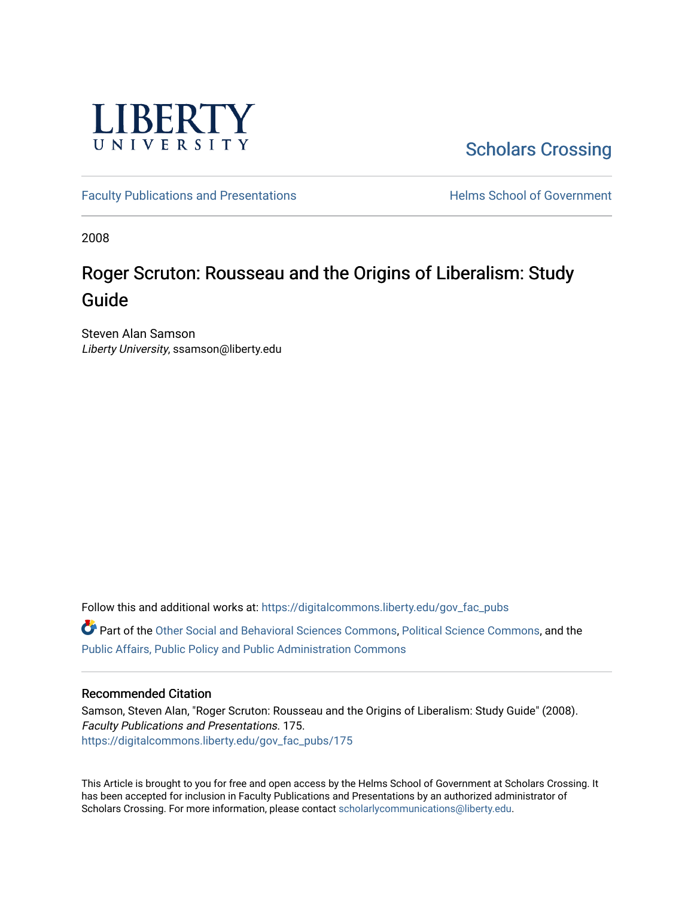

[Scholars Crossing](https://digitalcommons.liberty.edu/) 

[Faculty Publications and Presentations](https://digitalcommons.liberty.edu/gov_fac_pubs) **Exercise School of Government** 

2008

# Roger Scruton: Rousseau and the Origins of Liberalism: Study Guide

Steven Alan Samson Liberty University, ssamson@liberty.edu

Follow this and additional works at: [https://digitalcommons.liberty.edu/gov\\_fac\\_pubs](https://digitalcommons.liberty.edu/gov_fac_pubs?utm_source=digitalcommons.liberty.edu%2Fgov_fac_pubs%2F175&utm_medium=PDF&utm_campaign=PDFCoverPages)

Part of the [Other Social and Behavioral Sciences Commons](http://network.bepress.com/hgg/discipline/437?utm_source=digitalcommons.liberty.edu%2Fgov_fac_pubs%2F175&utm_medium=PDF&utm_campaign=PDFCoverPages), [Political Science Commons](http://network.bepress.com/hgg/discipline/386?utm_source=digitalcommons.liberty.edu%2Fgov_fac_pubs%2F175&utm_medium=PDF&utm_campaign=PDFCoverPages), and the [Public Affairs, Public Policy and Public Administration Commons](http://network.bepress.com/hgg/discipline/393?utm_source=digitalcommons.liberty.edu%2Fgov_fac_pubs%2F175&utm_medium=PDF&utm_campaign=PDFCoverPages)

## Recommended Citation

Samson, Steven Alan, "Roger Scruton: Rousseau and the Origins of Liberalism: Study Guide" (2008). Faculty Publications and Presentations. 175. [https://digitalcommons.liberty.edu/gov\\_fac\\_pubs/175](https://digitalcommons.liberty.edu/gov_fac_pubs/175?utm_source=digitalcommons.liberty.edu%2Fgov_fac_pubs%2F175&utm_medium=PDF&utm_campaign=PDFCoverPages)

This Article is brought to you for free and open access by the Helms School of Government at Scholars Crossing. It has been accepted for inclusion in Faculty Publications and Presentations by an authorized administrator of Scholars Crossing. For more information, please contact [scholarlycommunications@liberty.edu.](mailto:scholarlycommunications@liberty.edu)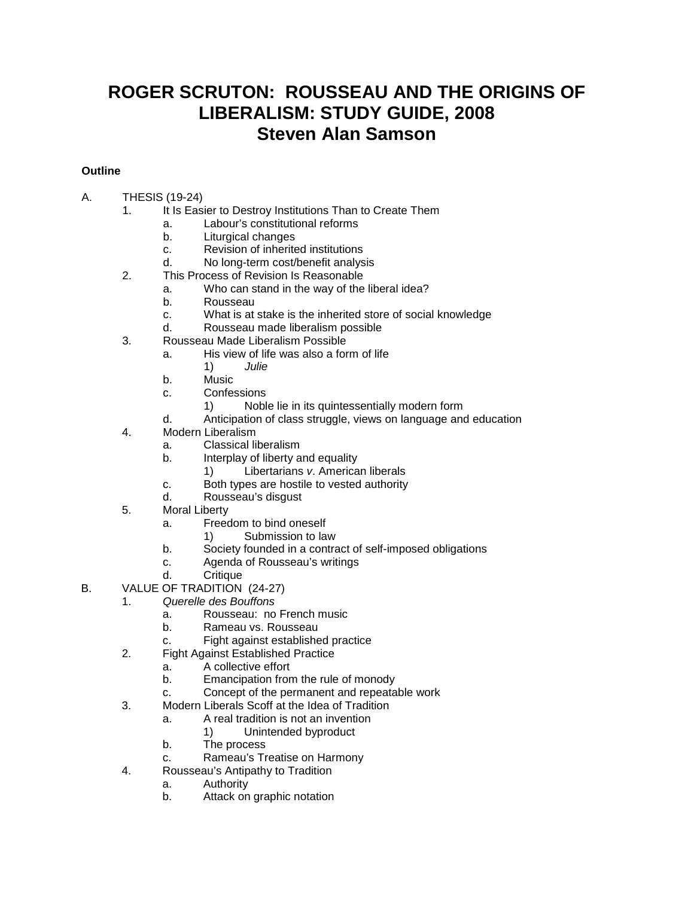## **ROGER SCRUTON: ROUSSEAU AND THE ORIGINS OF LIBERALISM: STUDY GUIDE, 2008 Steven Alan Samson**

## **Outline**

- A. THESIS (19-24)
	- 1. It Is Easier to Destroy Institutions Than to Create Them
		- a. Labour's constitutional reforms<br>b. Liturgical changes
		- b. Liturgical changes<br>c. Revision of inherite
		- Revision of inherited institutions
		- d. No long-term cost/benefit analysis
	- 2. This Process of Revision Is Reasonable
		- a. Who can stand in the way of the liberal idea?
		- b. Rousseau
		- c. What is at stake is the inherited store of social knowledge
		- Rousseau made liberalism possible
	- 3. Rousseau Made Liberalism Possible
		- a. His view of life was also a form of life  $\frac{1}{2}$   $\frac{1}{2}$  Julie
			- 1) *Julie*
		- b. Music
		- c. Confessions
			- 1) Noble lie in its quintessentially modern form
		- d. Anticipation of class struggle, views on language and education
	- 4. Modern Liberalism
		- a. Classical liberalism
		- b. Interplay of liberty and equality
			- 1) Libertarians *v*. American liberals
		- c. Both types are hostile to vested authority
		- d. Rousseau's disgust
	- 5. Moral Liberty
		- a. Freedom to bind oneself
			- 1) Submission to law
		- b. Society founded in a contract of self-imposed obligations
		- c. Agenda of Rousseau's writings
		- d. Critique
- B. VALUE OF TRADITION (24-27)
	- 1. *Querelle des Bouffons*
		- a. Rousseau: no French music
		- b. Rameau vs. Rousseau
		- c. Fight against established practice
	- 2. Fight Against Established Practice
		- a. A collective effort
			- b. Emancipation from the rule of monody
			- c. Concept of the permanent and repeatable work
	- 3. Modern Liberals Scoff at the Idea of Tradition
		- a. A real tradition is not an invention
			- 1) Unintended byproduct
		- b. The process
		- c. Rameau's Treatise on Harmony
	- 4. Rousseau's Antipathy to Tradition
		- a. Authority
		- b. Attack on graphic notation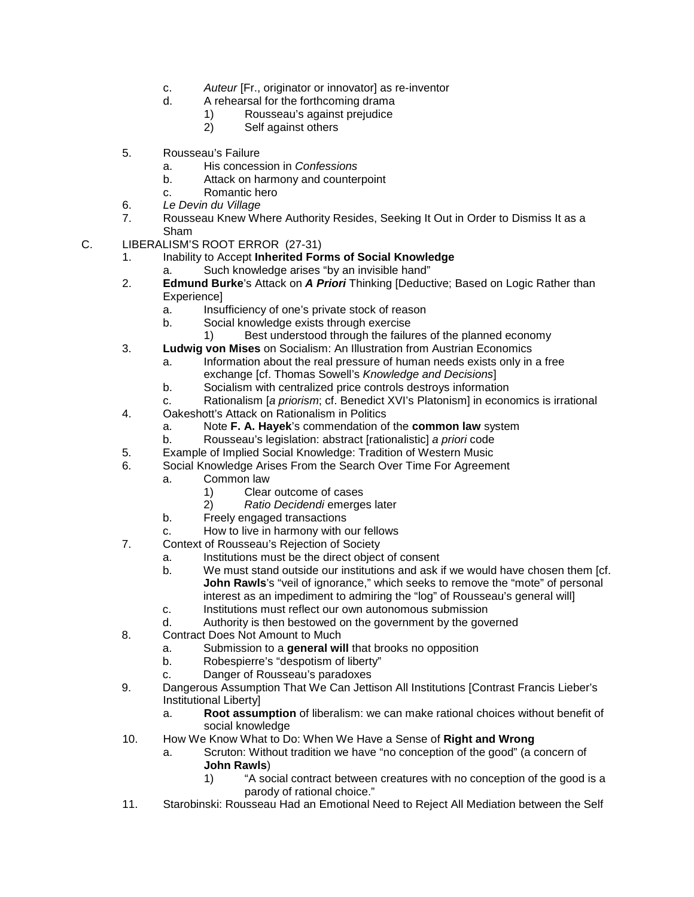- c. *Auteur* [Fr., originator or innovator] as re-inventor
- d. A rehearsal for the forthcoming drama
	- 1) Rousseau's against prejudice<br>2) Self against others
	- Self against others
- 5. Rousseau's Failure
	- a. His concession in *Confessions*
	- b. Attack on harmony and counterpoint
	- c. Romantic hero
- 6. *Le Devin du Village*
- 7. Rousseau Knew Where Authority Resides, Seeking It Out in Order to Dismiss It as a Sham
- C. LIBERALISM'S ROOT ERROR (27-31)
	- 1. Inability to Accept **Inherited Forms of Social Knowledge**
		- a. Such knowledge arises "by an invisible hand"
	- 2. **Edmund Burke**'s Attack on *A Priori* Thinking [Deductive; Based on Logic Rather than Experience]
		- a. Insufficiency of one's private stock of reason
		- b. Social knowledge exists through exercise
			- 1) Best understood through the failures of the planned economy
	- 3. **Ludwig von Mises** on Socialism: An Illustration from Austrian Economics
		- a. Information about the real pressure of human needs exists only in a free exchange [cf. Thomas Sowell's *Knowledge and Decisions*]
		- b. Socialism with centralized price controls destroys information
		- c. Rationalism [*a priorism*; cf. Benedict XVI's Platonism] in economics is irrational
	- 4. Oakeshott's Attack on Rationalism in Politics
		- a. Note **F. A. Hayek**'s commendation of the **common law** system
		- b. Rousseau's legislation: abstract [rationalistic] *a priori* code
	- 5. Example of Implied Social Knowledge: Tradition of Western Music
	- 6. Social Knowledge Arises From the Search Over Time For Agreement
		- a. Common law
			- 1) Clear outcome of cases
			- 2) *Ratio Decidendi* emerges later
			- b. Freely engaged transactions
			- c. How to live in harmony with our fellows
	- 7. Context of Rousseau's Rejection of Society
		- a. Institutions must be the direct object of consent
		- b. We must stand outside our institutions and ask if we would have chosen them [cf. **John Rawls**'s "veil of ignorance," which seeks to remove the "mote" of personal interest as an impediment to admiring the "log" of Rousseau's general will]
		- c. Institutions must reflect our own autonomous submission
		- d. Authority is then bestowed on the government by the governed
	- 8. Contract Does Not Amount to Much
		- a. Submission to a **general will** that brooks no opposition
		- b. Robespierre's "despotism of liberty"
		- c. Danger of Rousseau's paradoxes
	- 9. Dangerous Assumption That We Can Jettison All Institutions [Contrast Francis Lieber's Institutional Liberty]
		- a. **Root assumption** of liberalism: we can make rational choices without benefit of social knowledge
	- 10. How We Know What to Do: When We Have a Sense of **Right and Wrong**
		- a. Scruton: Without tradition we have "no conception of the good" (a concern of **John Rawls**)<br>1) "A sor
			- "A social contract between creatures with no conception of the good is a parody of rational choice."
	- 11. Starobinski: Rousseau Had an Emotional Need to Reject All Mediation between the Self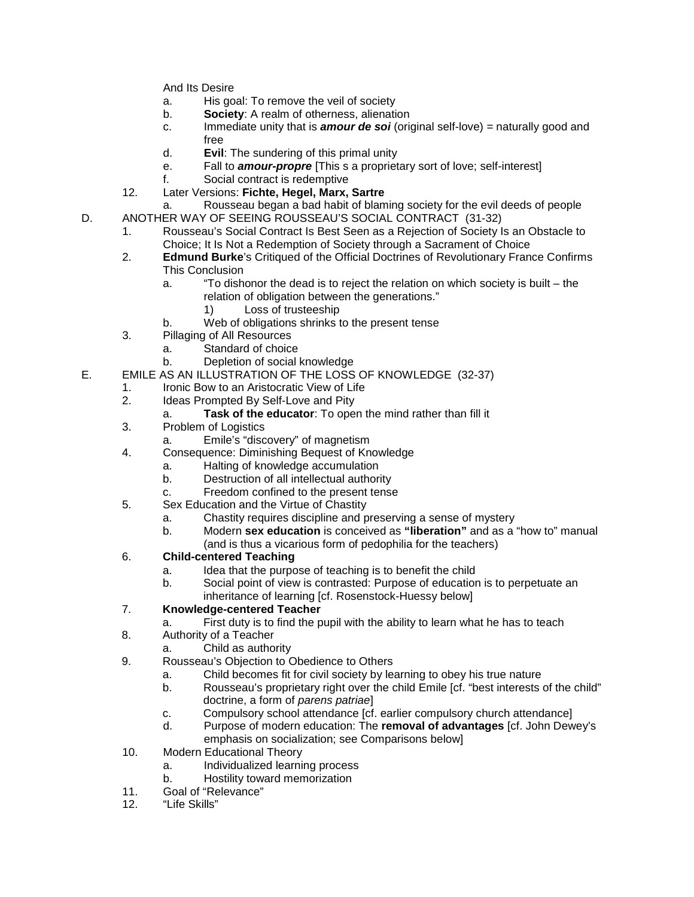And Its Desire

- a. His goal: To remove the veil of society
- b. **Society**: A realm of otherness, alienation
- c. Immediate unity that is *amour de soi* (original self-love) *=* naturally good and free
- d. **Evil**: The sundering of this primal unity
- e. Fall to *amour-propre* [This s a proprietary sort of love; self-interest]
- f. Social contract is redemptive
- 12. Later Versions: **Fichte, Hegel, Marx, Sartre**
- a. Rousseau began a bad habit of blaming society for the evil deeds of people D. ANOTHER WAY OF SEEING ROUSSEAU'S SOCIAL CONTRACT (31-32)
	- 1. Rousseau's Social Contract Is Best Seen as a Rejection of Society Is an Obstacle to Choice; It Is Not a Redemption of Society through a Sacrament of Choice
	- 2. **Edmund Burke**'s Critiqued of the Official Doctrines of Revolutionary France Confirms This Conclusion
		- a. "To dishonor the dead is to reject the relation on which society is built the relation of obligation between the generations."
			- 1) Loss of trusteeship
		- b. Web of obligations shrinks to the present tense
	- 3. Pillaging of All Resources
		- a. Standard of choice
		- b. Depletion of social knowledge
- E. EMILE AS AN ILLUSTRATION OF THE LOSS OF KNOWLEDGE (32-37)
	- 1. Ironic Bow to an Aristocratic View of Life<br>2. Ideas Prompted By Self-Love and Pity
		- Ideas Prompted By Self-Love and Pity
			- a. **Task of the educator**: To open the mind rather than fill it
		- 3. Problem of Logistics
			- a. Emile's "discovery" of magnetism
		- 4. Consequence: Diminishing Bequest of Knowledge
			- a. Halting of knowledge accumulation
			- Destruction of all intellectual authority
			- c. Freedom confined to the present tense
		- 5. Sex Education and the Virtue of Chastity
			- a. Chastity requires discipline and preserving a sense of mystery
			- b. Modern **sex education** is conceived as **"liberation"** and as a "how to" manual
				- (and is thus a vicarious form of pedophilia for the teachers)

### 6. **Child-centered Teaching**

- a. Idea that the purpose of teaching is to benefit the child
- b. Social point of view is contrasted: Purpose of education is to perpetuate an inheritance of learning [cf. Rosenstock-Huessy below]

### 7. **Knowledge-centered Teacher**

- a. First duty is to find the pupil with the ability to learn what he has to teach
- 8. Authority of a Teacher
	- a. Child as authority
- 9. Rousseau's Objection to Obedience to Others
	- a. Child becomes fit for civil society by learning to obey his true nature
	- b. Rousseau's proprietary right over the child Emile [cf. "best interests of the child" doctrine, a form of *parens patriae*]
	- c. Compulsory school attendance [cf. earlier compulsory church attendance]
	- d. Purpose of modern education: The **removal of advantages** [cf. John Dewey's emphasis on socialization; see Comparisons below]
- 10. Modern Educational Theory
	- a. Individualized learning process
	- b. Hostility toward memorization
- 11. Goal of "Relevance"
- 12. "Life Skills"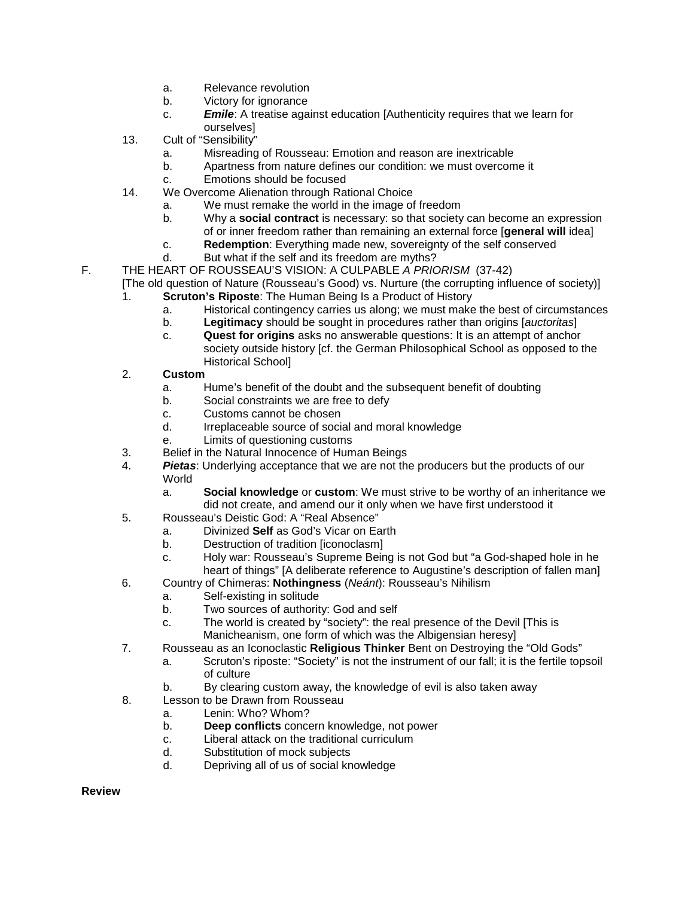- a. Relevance revolution
- b. Victory for ignorance
- c. *Emile*: A treatise against education [Authenticity requires that we learn for ourselves]
- 13. Cult of "Sensibility"
	- a. Misreading of Rousseau: Emotion and reason are inextricable
	- b. Apartness from nature defines our condition: we must overcome it
	- c. Emotions should be focused
- 14. We Overcome Alienation through Rational Choice
	- a. We must remake the world in the image of freedom
	- b. Why a **social contract** is necessary: so that society can become an expression of or inner freedom rather than remaining an external force [**general will** idea]
	- c. **Redemption**: Everything made new, sovereignty of the self conserved
	- d. But what if the self and its freedom are myths?
- F. THE HEART OF ROUSSEAU'S VISION: A CULPABLE *A PRIORISM* (37-42) [The old question of Nature (Rousseau's Good) vs. Nurture (the corrupting influence of society)]
	- 1. **Scruton's Riposte**: The Human Being Is a Product of History
		- a. Historical contingency carries us along; we must make the best of circumstances
		- b. **Legitimacy** should be sought in procedures rather than origins [*auctoritas*]
		- c. **Quest for origins** asks no answerable questions: It is an attempt of anchor society outside history [cf. the German Philosophical School as opposed to the Historical School]
	- 2. **Custom**
		- a. Hume's benefit of the doubt and the subsequent benefit of doubting
		- b. Social constraints we are free to defy
		- c. Customs cannot be chosen<br>d. Irreplaceable source of soci
		- Irreplaceable source of social and moral knowledge
		- e. Limits of questioning customs
	- 3. Belief in the Natural Innocence of Human Beings
	- 4. *Pietas*: Underlying acceptance that we are not the producers but the products of our World
		- a. **Social knowledge** or **custom**: We must strive to be worthy of an inheritance we did not create, and amend our it only when we have first understood it
	- 5. Rousseau's Deistic God: A "Real Absence"
		- a. Divinized **Self** as God's Vicar on Earth
		- b. Destruction of tradition [iconoclasm]
		- c. Holy war: Rousseau's Supreme Being is not God but "a God-shaped hole in he heart of things" [A deliberate reference to Augustine's description of fallen man]
	- 6. Country of Chimeras: **Nothingness** (*Neánt*): Rousseau's Nihilism
		- a. Self-existing in solitude
		- b. Two sources of authority: God and self
		- c. The world is created by "society": the real presence of the Devil [This is Manicheanism, one form of which was the Albigensian heresy]
	- 7. Rousseau as an Iconoclastic **Religious Thinker** Bent on Destroying the "Old Gods"
		- a. Scruton's riposte: "Society" is not the instrument of our fall; it is the fertile topsoil of culture
		- b. By clearing custom away, the knowledge of evil is also taken away
	- 8. Lesson to be Drawn from Rousseau
		- a. Lenin: Who? Whom?
		- b. **Deep conflicts** concern knowledge, not power
		- c. Liberal attack on the traditional curriculum
		- d. Substitution of mock subjects
		- d. Depriving all of us of social knowledge

**Review**